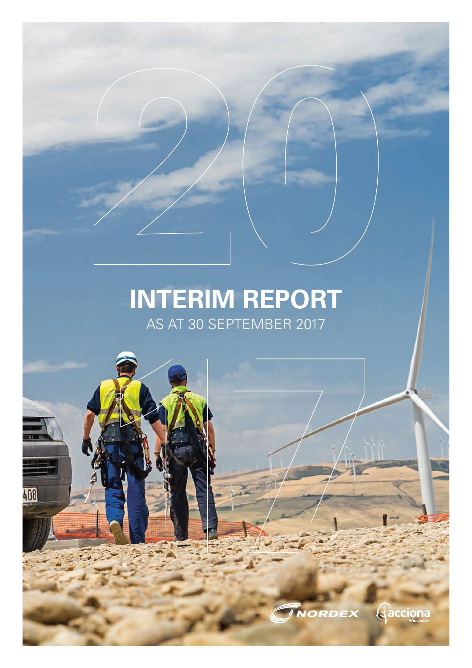## **INTERIM REPORT**  AS AT 30 SEPTEMBER 2017

408

**Aacciona**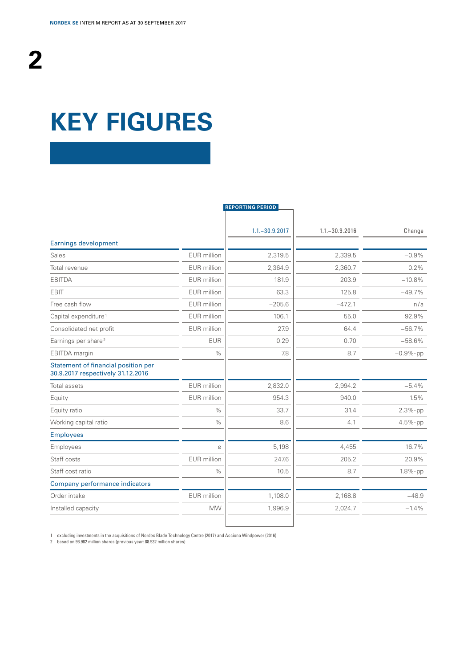## **KEY FIGURES**

|                                                                          |             | <b>REPORTING PERIOD</b> |                   |             |
|--------------------------------------------------------------------------|-------------|-------------------------|-------------------|-------------|
|                                                                          |             | $1.1 - 30.9.2017$       | $1.1 - 30.9.2016$ | Change      |
| <b>Earnings development</b>                                              |             |                         |                   |             |
| Sales                                                                    | EUR million | 2,319.5                 | 2,339.5           | $-0.9%$     |
| Total revenue                                                            | EUR million | 2,364.9                 | 2,360.7           | 0.2%        |
| <b>EBITDA</b>                                                            | EUR million | 181.9                   | 203.9             | $-10.8%$    |
| <b>EBIT</b>                                                              | EUR million | 63.3                    | 125.8             | $-49.7%$    |
| Free cash flow                                                           | EUR million | $-205.6$                | $-472.1$          | n/a         |
| Capital expenditure <sup>1</sup>                                         | EUR million | 106.1                   | 55.0              | 92.9%       |
| Consolidated net profit                                                  | EUR million | 27.9                    | 64.4              | $-56.7%$    |
| Earnings per share <sup>2</sup>                                          | <b>EUR</b>  | 0.29                    | 0.70              | $-58.6%$    |
| EBITDA margin                                                            | $\%$        | 7.8                     | 8.7               | $-0.9%$ -pp |
| Statement of financial position per<br>30.9.2017 respectively 31.12.2016 |             |                         |                   |             |
| Total assets                                                             | EUR million | 2,832.0                 | 2,994.2           | $-5.4%$     |
| Equity                                                                   | EUR million | 954.3                   | 940.0             | 1.5%        |
| Equity ratio                                                             | $\%$        | 33.7                    | 31.4              | 2.3%-pp     |
| Working capital ratio                                                    | $\%$        | 8.6                     | 4.1               | $4.5%$ -pp  |
| <b>Employees</b>                                                         |             |                         |                   |             |
| Employees                                                                | Ø           | 5,198                   | 4,455             | 16.7%       |
| Staff costs                                                              | EUR million | 247.6                   | 205.2             | 20.9%       |
| Staff cost ratio                                                         | $\%$        | 10.5                    | 8.7               | 1.8%-pp     |
| Company performance indicators                                           |             |                         |                   |             |
| Order intake                                                             | EUR million | 1,108.0                 | 2,168.8           | $-48.9$     |
| Installed capacity                                                       | <b>MW</b>   | 1,996.9                 | 2,024.7           | $-1.4%$     |
|                                                                          |             |                         |                   |             |

1 excluding investments in the acquisitions of Nordex Blade Technology Centre (2017) and Acciona Windpower (2016) 2 based on 96.982 million shares (previous year: 88.532 million shares)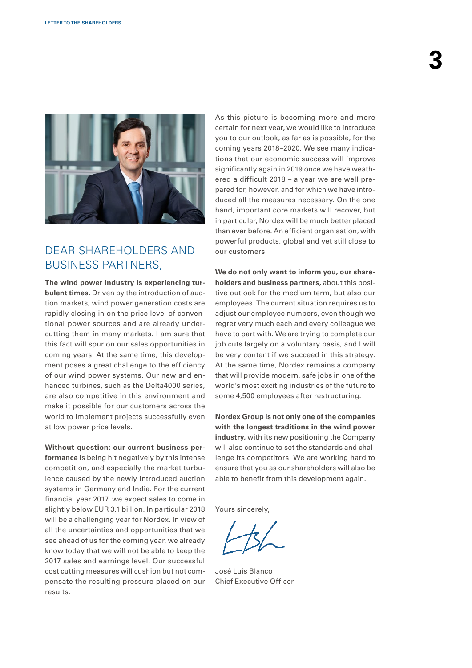

## DEAR SHAREHOLDERS AND BUSINESS PARTNERS,

**The wind power industry is experiencing turbulent times.** Driven by the introduction of auction markets, wind power generation costs are rapidly closing in on the price level of conventional power sources and are already undercutting them in many markets. I am sure that this fact will spur on our sales opportunities in coming years. At the same time, this development poses a great challenge to the efficiency of our wind power systems. Our new and enhanced turbines, such as the Delta4000 series, are also competitive in this environment and make it possible for our customers across the world to implement projects successfully even at low power price levels.

**Without question: our current business performance** is being hit negatively by this intense competition, and especially the market turbulence caused by the newly introduced auction systems in Germany and India. For the current financial year 2017, we expect sales to come in slightly below EUR 3.1 billion. In particular 2018 will be a challenging year for Nordex. In view of all the uncertainties and opportunities that we see ahead of us for the coming year, we already know today that we will not be able to keep the 2017 sales and earnings level. Our successful cost cutting measures will cushion but not compensate the resulting pressure placed on our results.

As this picture is becoming more and more certain for next year, we would like to introduce you to our outlook, as far as is possible, for the coming years 2018–2020. We see many indications that our economic success will improve significantly again in 2019 once we have weathered a difficult 2018 – a year we are well prepared for, however, and for which we have introduced all the measures necessary. On the one hand, important core markets will recover, but in particular, Nordex will be much better placed than ever before. An efficient organisation, with powerful products, global and yet still close to our customers.

**We do not only want to inform you, our shareholders and business partners,** about this positive outlook for the medium term, but also our employees. The current situation requires us to adjust our employee numbers, even though we regret very much each and every colleague we have to part with. We are trying to complete our job cuts largely on a voluntary basis, and I will be very content if we succeed in this strategy. At the same time, Nordex remains a company that will provide modern, safe jobs in one of the world's most exciting industries of the future to some 4,500 employees after restructuring.

**Nordex Group is not only one of the companies with the longest traditions in the wind power industry,** with its new positioning the Company will also continue to set the standards and challenge its competitors. We are working hard to ensure that you as our shareholders will also be able to benefit from this development again.

Yours sincerely,

José Luis Blanco Chief Executive Officer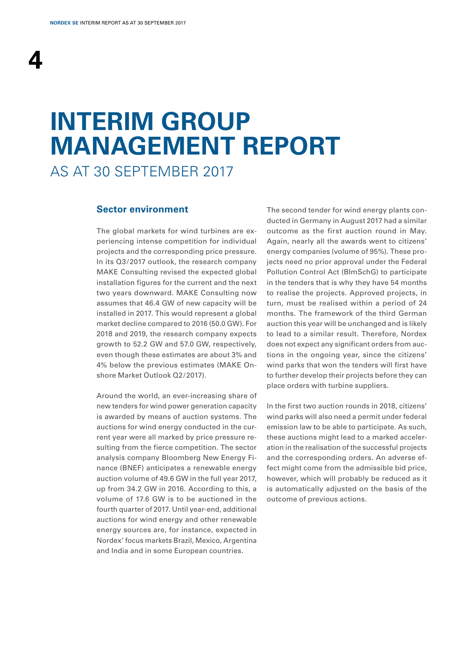## **INTERIM GROUP MANAGEMENT REPORT**

AS AT 30 SEPTEMBER 2017

#### **Sector environment**

The global markets for wind turbines are experiencing intense competition for individual projects and the corresponding price pressure. In its Q3/2017 outlook, the research company MAKE Consulting revised the expected global installation figures for the current and the next two years downward. MAKE Consulting now assumes that 46.4 GW of new capacity will be installed in 2017. This would represent a global market decline compared to 2016 (50.0 GW). For 2018 and 2019, the research company expects growth to 52.2 GW and 57.0 GW, respectively, even though these estimates are about 3% and 4% below the previous estimates (MAKE Onshore Market Outlook Q2/2017).

Around the world, an ever-increasing share of new tenders for wind power generation capacity is awarded by means of auction systems. The auctions for wind energy conducted in the current year were all marked by price pressure resulting from the fierce competition. The sector analysis company Bloomberg New Energy Finance (BNEF) anticipates a renewable energy auction volume of 49.6 GW in the full year 2017, up from 34.2 GW in 2016. According to this, a volume of 17.6 GW is to be auctioned in the fourth quarter of 2017. Until year-end, additional auctions for wind energy and other renewable energy sources are, for instance, expected in Nordex' focus markets Brazil, Mexico, Argentina and India and in some European countries.

The second tender for wind energy plants conducted in Germany in August 2017 had a similar outcome as the first auction round in May. Again, nearly all the awards went to citizens' energy companies (volume of 95%). These projects need no prior approval under the Federal Pollution Control Act (BImSchG) to participate in the tenders that is why they have 54 months to realise the projects. Approved projects, in turn, must be realised within a period of 24 months. The framework of the third German auction this year will be unchanged and is likely to lead to a similar result. Therefore, Nordex does not expect any significant orders from auctions in the ongoing year, since the citizens' wind parks that won the tenders will first have to further develop their projects before they can place orders with turbine suppliers.

In the first two auction rounds in 2018, citizens' wind parks will also need a permit under federal emission law to be able to participate. As such, these auctions might lead to a marked acceleration in the realisation of the successful projects and the corresponding orders. An adverse effect might come from the admissible bid price, however, which will probably be reduced as it is automatically adjusted on the basis of the outcome of previous actions.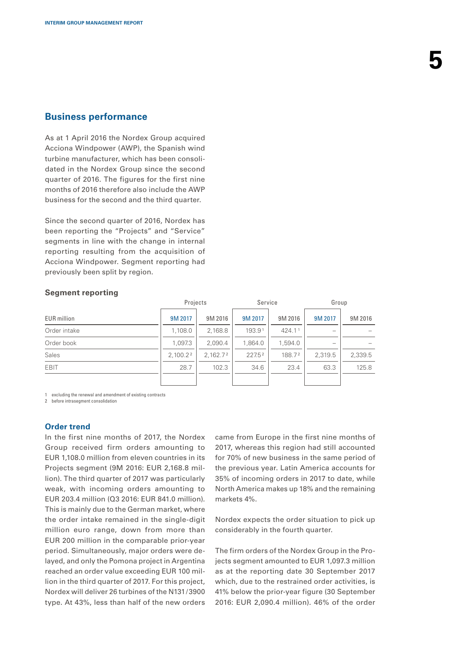### **Business performance**

As at 1 April 2016 the Nordex Group acquired Acciona Windpower (AWP), the Spanish wind turbine manufacturer, which has been consolidated in the Nordex Group since the second quarter of 2016. The figures for the first nine months of 2016 therefore also include the AWP business for the second and the third quarter.

Since the second quarter of 2016, Nordex has been reporting the "Projects" and "Service" segments in line with the change in internal reporting resulting from the acquisition of Acciona Windpower. Segment reporting had previously been split by region.

#### **Segment reporting**

|                    | Projects             |                      | Service |         | Group   |         |
|--------------------|----------------------|----------------------|---------|---------|---------|---------|
| <b>EUR</b> million | 9M 2017              | 9M 2016              | 9M 2017 | 9M 2016 | 9M 2017 | 9M 2016 |
| Order intake       | 1,108.0              | 2,168.8              | 193.91  | 424.11  |         |         |
| Order book         | 1.097.3              | 2.090.4              | 1.864.0 | 1.594.0 |         |         |
| Sales              | 2,100.2 <sup>2</sup> | 2.162.7 <sup>2</sup> | 227.52  | 188.72  | 2.319.5 | 2,339.5 |
| <b>EBIT</b>        | 28.7                 | 102.3                | 34.6    | 23.4    | 63.3    | 125.8   |
|                    |                      |                      |         |         |         |         |

1 excluding the renewal and amendment of existing contracts

2 before intrasegment consolidation

### **Order trend**

In the first nine months of 2017, the Nordex Group received firm orders amounting to EUR 1,108.0 million from eleven countries in its Projects segment (9M 2016: EUR 2,168.8 million). The third quarter of 2017 was particularly weak, with incoming orders amounting to EUR 203.4 million (Q3 2016: EUR 841.0 million). This is mainly due to the German market, where the order intake remained in the single-digit million euro range, down from more than EUR 200 million in the comparable prior-year period. Simultaneously, major orders were delayed, and only the Pomona project in Argentina reached an order value exceeding EUR 100 million in the third quarter of 2017. For this project, Nordex will deliver 26 turbines of the N131/3900 type. At 43%, less than half of the new orders

came from Europe in the first nine months of 2017, whereas this region had still accounted for 70% of new business in the same period of the previous year. Latin America accounts for 35% of incoming orders in 2017 to date, while North America makes up 18% and the remaining markets 4%.

Nordex expects the order situation to pick up considerably in the fourth quarter.

The firm orders of the Nordex Group in the Projects segment amounted to EUR 1,097.3 million as at the reporting date 30 September 2017 which, due to the restrained order activities, is 41% below the prior-year figure (30 September 2016: EUR 2,090.4 million). 46% of the order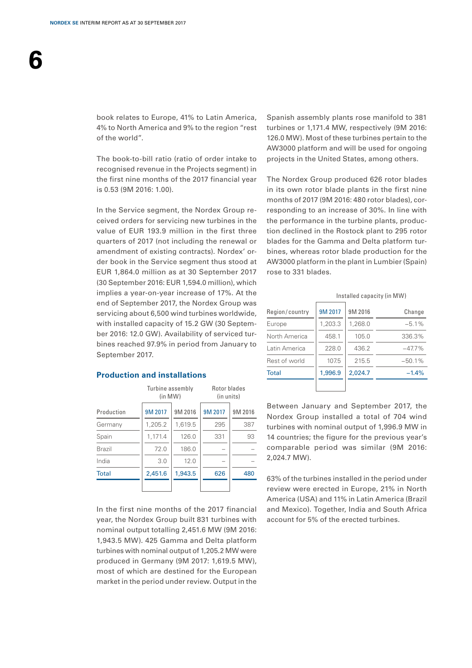**6**

book relates to Europe, 41% to Latin America, 4% to North America and 9% to the region "rest of the world".

The book-to-bill ratio (ratio of order intake to recognised revenue in the Projects segment) in the first nine months of the 2017 financial year is 0.53 (9M 2016: 1.00).

In the Service segment, the Nordex Group received orders for servicing new turbines in the value of EUR 193.9 million in the first three quarters of 2017 (not including the renewal or amendment of existing contracts). Nordex' order book in the Service segment thus stood at EUR 1,864.0 million as at 30 September 2017 (30 September 2016: EUR 1,594.0 million), which implies a year-on-year increase of 17%. At the end of September 2017, the Nordex Group was servicing about 6,500 wind turbines worldwide, with installed capacity of 15.2 GW (30 September 2016: 12.0 GW). Availability of serviced turbines reached 97.9% in period from January to September 2017.

#### **Production and installations**

|              | Turbine assembly<br>(in MW) |         | Rotor blades<br>(in units) |         |
|--------------|-----------------------------|---------|----------------------------|---------|
| Production   | 9M 2017                     | 9M 2016 | 9M 2017                    | 9M 2016 |
| Germany      | 1,205.2                     | 1,619.5 | 295                        | 387     |
| Spain        | 1.171.4                     | 126.0   | 331                        | 93      |
| Brazil       | 72.0                        | 186.0   |                            |         |
| India        | 3.0                         | 12.0    |                            |         |
| <b>Total</b> | 2,451.6                     | 1.943.5 | 626                        | 480     |
|              |                             |         |                            |         |

In the first nine months of the 2017 financial year, the Nordex Group built 831 turbines with nominal output totalling 2,451.6 MW (9M 2016: 1,943.5 MW). 425 Gamma and Delta platform turbines with nominal output of 1,205.2 MW were produced in Germany (9M 2017: 1,619.5 MW), most of which are destined for the European market in the period under review. Output in the Spanish assembly plants rose manifold to 381 turbines or 1,171.4 MW, respectively (9M 2016: 126.0 MW). Most of these turbines pertain to the AW3000 platform and will be used for ongoing projects in the United States, among others.

The Nordex Group produced 626 rotor blades in its own rotor blade plants in the first nine months of 2017 (9M 2016: 480 rotor blades), corresponding to an increase of 30%. In line with the performance in the turbine plants, production declined in the Rostock plant to 295 rotor blades for the Gamma and Delta platform turbines, whereas rotor blade production for the AW3000 platform in the plant in Lumbier (Spain) rose to 331 blades.

| Region/country | 9M 2017 | 9M 2016 | Change    |
|----------------|---------|---------|-----------|
| Europe         | 1,203.3 | 1,268.0 | $-5.1%$   |
| North America  | 458.1   | 105.0   | 336.3%    |
| Latin America  | 228.0   | 436.2   | $-47.7\%$ |
| Rest of world  | 107.5   | 215.5   | $-50.1%$  |
| <b>Total</b>   | 1,996.9 | 2,024.7 | $-1.4%$   |
|                |         |         |           |

Installed capacity (in MW)

Between January and September 2017, the Nordex Group installed a total of 704 wind turbines with nominal output of 1,996.9 MW in 14 countries; the figure for the previous year's comparable period was similar (9M 2016: 2,024.7 MW).

63% of the turbines installed in the period under review were erected in Europe, 21% in North America (USA) and 11% in Latin America (Brazil and Mexico). Together, India and South Africa account for 5% of the erected turbines.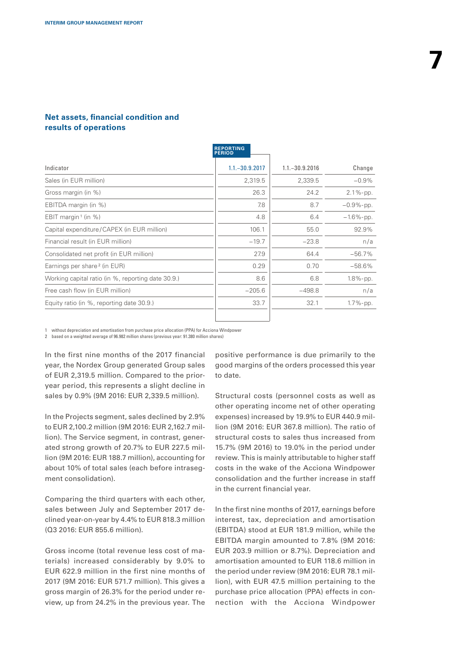### **Net assets, financial condition and results of operations**

| Change       |
|--------------|
| $-0.9%$      |
| $2.1\%$ -pp. |
| $-0.9%$ -pp. |
| $-1.6%$ -pp. |
| 92.9%        |
| n/a          |
| $-56.7%$     |
| $-58.6%$     |
| 1.8%-pp.     |
| n/a          |
| 1.7%-pp.     |
|              |

1 without depreciation and amortisation from purchase price allocation (PPA) for Acciona Windpower

2 based on a weighted average of 96.982 million shares (previous year: 91.380 million shares)

In the first nine months of the 2017 financial year, the Nordex Group generated Group sales of EUR 2,319.5 million. Compared to the prioryear period, this represents a slight decline in sales by 0.9% (9M 2016: EUR 2,339.5 million).

In the Projects segment, sales declined by 2.9% to EUR 2,100.2 million (9M 2016: EUR 2,162.7 million). The Service segment, in contrast, generated strong growth of 20.7% to EUR 227.5 million (9M 2016: EUR 188.7 million), accounting for about 10% of total sales (each before intrasegment consolidation).

Comparing the third quarters with each other, sales between July and September 2017 declined year-on-year by 4.4% to EUR 818.3 million (Q3 2016: EUR 855.6 million).

Gross income (total revenue less cost of materials) increased considerably by 9.0% to EUR 622.9 million in the first nine months of 2017 (9M 2016: EUR 571.7 million). This gives a gross margin of 26.3% for the period under review, up from 24.2% in the previous year. The positive performance is due primarily to the good margins of the orders processed this year to date.

Structural costs (personnel costs as well as other operating income net of other operating expenses) increased by 19.9% to EUR 440.9 million (9M 2016: EUR 367.8 million). The ratio of structural costs to sales thus increased from 15.7% (9M 2016) to 19.0% in the period under review. This is mainly attributable to higher staff costs in the wake of the Acciona Windpower consolidation and the further increase in staff in the current financial year.

In the first nine months of 2017, earnings before interest, tax, depreciation and amortisation (EBITDA) stood at EUR 181.9 million, while the EBITDA margin amounted to 7.8% (9M 2016: EUR 203.9 million or 8.7%). Depreciation and amortisation amounted to EUR 118.6 million in the period under review (9M 2016: EUR 78.1 million), with EUR 47.5 million pertaining to the purchase price allocation (PPA) effects in connection with the Acciona Windpower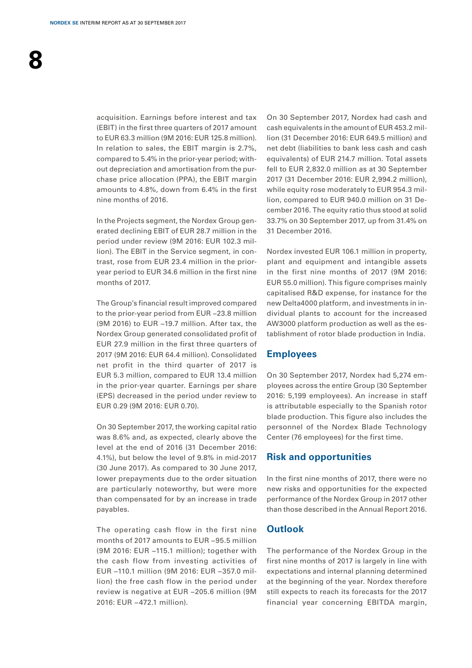acquisition. Earnings before interest and tax (EBIT) in the first three quarters of 2017 amount to EUR 63.3 million (9M 2016: EUR 125.8 million). In relation to sales, the EBIT margin is 2.7%, compared to 5.4% in the prior-year period; without depreciation and amortisation from the purchase price allocation (PPA), the EBIT margin amounts to 4.8%, down from 6.4% in the first nine months of 2016.

In the Projects segment, the Nordex Group generated declining EBIT of EUR 28.7 million in the period under review (9M 2016: EUR 102.3 million). The EBIT in the Service segment, in contrast, rose from EUR 23.4 million in the prioryear period to EUR 34.6 million in the first nine months of 2017.

The Group's financial result improved compared to the prior-year period from EUR −23.8 million (9M 2016) to EUR −19.7 million. After tax, the Nordex Group generated consolidated profit of EUR 27.9 million in the first three quarters of 2017 (9M 2016: EUR 64.4 million). Consolidated net profit in the third quarter of 2017 is EUR 5.3 million, compared to EUR 13.4 million in the prior-year quarter. Earnings per share (EPS) decreased in the period under review to EUR 0.29 (9M 2016: EUR 0.70).

On 30 September 2017, the working capital ratio was 8.6% and, as expected, clearly above the level at the end of 2016 (31 December 2016: 4.1%), but below the level of 9.8% in mid-2017 (30 June 2017). As compared to 30 June 2017, lower prepayments due to the order situation are particularly noteworthy, but were more than compensated for by an increase in trade payables.

The operating cash flow in the first nine months of 2017 amounts to EUR −95.5 million (9M 2016: EUR −115.1 million); together with the cash flow from investing activities of EUR −110.1 million (9M 2016: EUR −357.0 million) the free cash flow in the period under review is negative at EUR −205.6 million (9M 2016: EUR −472.1 million).

On 30 September 2017, Nordex had cash and cash equivalents in the amount of EUR 453.2 million (31 December 2016: EUR 649.5 million) and net debt (liabilities to bank less cash and cash equivalents) of EUR 214.7 million. Total assets fell to EUR 2,832.0 million as at 30 September 2017 (31 December 2016: EUR 2,994.2 million), while equity rose moderately to EUR 954.3 million, compared to EUR 940.0 million on 31 December 2016. The equity ratio thus stood at solid 33.7% on 30 September 2017, up from 31.4% on 31 December 2016.

Nordex invested EUR 106.1 million in property, plant and equipment and intangible assets in the first nine months of 2017 (9M 2016: EUR 55.0 million). This figure comprises mainly capitalised R&D expense, for instance for the new Delta4000 platform, and investments in individual plants to account for the increased AW3000 platform production as well as the establishment of rotor blade production in India.

### **Employees**

On 30 September 2017, Nordex had 5,274 employees across the entire Group (30 September 2016: 5,199 employees). An increase in staff is attributable especially to the Spanish rotor blade production. This figure also includes the personnel of the Nordex Blade Technology Center (76 employees) for the first time.

### **Risk and opportunities**

In the first nine months of 2017, there were no new risks and opportunities for the expected performance of the Nordex Group in 2017 other than those described in the Annual Report 2016.

### **Outlook**

The performance of the Nordex Group in the first nine months of 2017 is largely in line with expectations and internal planning determined at the beginning of the year. Nordex therefore still expects to reach its forecasts for the 2017 financial year concerning EBITDA margin,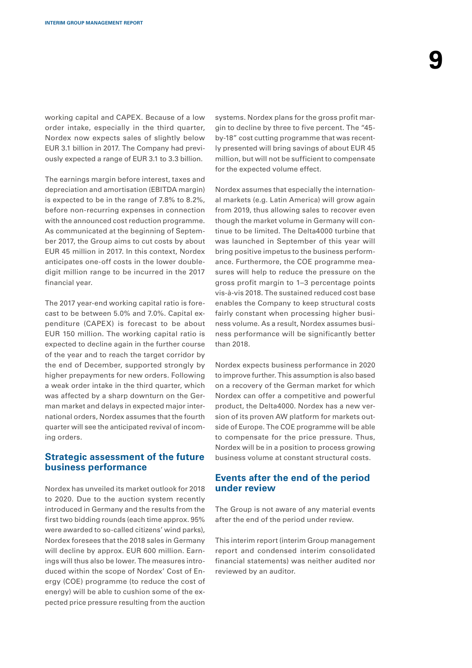working capital and CAPEX. Because of a low order intake, especially in the third quarter, Nordex now expects sales of slightly below EUR 3.1 billion in 2017. The Company had previously expected a range of EUR 3.1 to 3.3 billion.

The earnings margin before interest, taxes and depreciation and amortisation (EBITDA margin) is expected to be in the range of 7.8% to 8.2%, before non-recurring expenses in connection with the announced cost reduction programme. As communicated at the beginning of September 2017, the Group aims to cut costs by about EUR 45 million in 2017. In this context, Nordex anticipates one-off costs in the lower double-digit million range to be incurred in the 2017 financial year.

The 2017 year-end working capital ratio is forecast to be between 5.0% and 7.0%. Capital expenditure (CAPEX) is forecast to be about EUR 150 million. The working capital ratio is expected to decline again in the further course of the year and to reach the target corridor by the end of December, supported strongly by higher prepayments for new orders. Following a weak order intake in the third quarter, which was affected by a sharp downturn on the German market and delays in expected major international orders, Nordex assumes that the fourth quarter will see the anticipated revival of incoming orders.

### **Strategic assessment of the future business performance**

Nordex has unveiled its market outlook for 2018 to 2020. Due to the auction system recently introduced in Germany and the results from the first two bidding rounds (each time approx. 95% were awarded to so-called citizens' wind parks), Nordex foresees that the 2018 sales in Germany will decline by approx. EUR 600 million. Earnings will thus also be lower. The measures introduced within the scope of Nordex' Cost of Energy (COE) programme (to reduce the cost of energy) will be able to cushion some of the expected price pressure resulting from the auction

systems. Nordex plans for the gross profit margin to decline by three to five percent. The "45by-18" cost cutting programme that was recently presented will bring savings of about EUR 45 million, but will not be sufficient to compensate for the expected volume effect.

Nordex assumes that especially the international markets (e.g. Latin America) will grow again from 2019, thus allowing sales to recover even though the market volume in Germany will continue to be limited. The Delta4000 turbine that was launched in September of this year will bring positive impetus to the business performance. Furthermore, the COE programme measures will help to reduce the pressure on the gross profit margin to 1–3 percentage points vis-à-vis 2018. The sustained reduced cost base enables the Company to keep structural costs fairly constant when processing higher business volume. As a result, Nordex assumes business performance will be significantly better than 2018.

Nordex expects business performance in 2020 to improve further. This assumption is also based on a recovery of the German market for which Nordex can offer a competitive and powerful product, the Delta4000. Nordex has a new version of its proven AW platform for markets outside of Europe. The COE programme will be able to compensate for the price pressure. Thus, Nordex will be in a position to process growing business volume at constant structural costs.

### **Events after the end of the period under review**

The Group is not aware of any material events after the end of the period under review.

This interim report (interim Group management report and condensed interim consolidated financial statements) was neither audited nor reviewed by an auditor.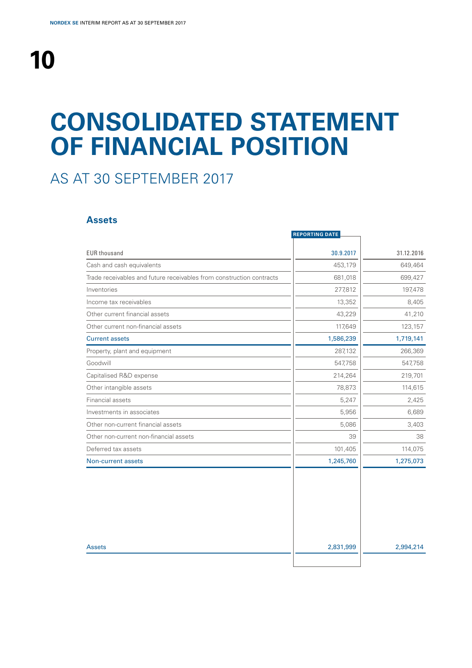## **CONSOLIDATED STATEMENT OF FINANCIAL POSITION**

## AS AT 30 SEPTEMBER 2017

### **Assets**

|                                                                      | <b>REPORTING DATE</b> |            |
|----------------------------------------------------------------------|-----------------------|------------|
| <b>EUR thousand</b>                                                  | 30.9.2017             | 31.12.2016 |
| Cash and cash equivalents                                            | 453,179               | 649,464    |
| Trade receivables and future receivables from construction contracts | 681,018               | 699,427    |
| Inventories                                                          | 277,812               | 197,478    |
| Income tax receivables                                               | 13,352                | 8,405      |
| Other current financial assets                                       | 43,229                | 41,210     |
| Other current non-financial assets                                   | 117,649               | 123,157    |
| <b>Current assets</b>                                                | 1,586,239             | 1,719,141  |
| Property, plant and equipment                                        | 287,132               | 266,369    |
| Goodwill                                                             | 547,758               | 547,758    |
| Capitalised R&D expense                                              | 214,264               | 219,701    |
| Other intangible assets                                              | 78,873                | 114,615    |
| Financial assets                                                     | 5,247                 | 2,425      |
| Investments in associates                                            | 5,956                 | 6,689      |
| Other non-current financial assets                                   | 5,086                 | 3,403      |
| Other non-current non-financial assets                               | 39                    | 38         |
| Deferred tax assets                                                  | 101,405               | 114,075    |
| Non-current assets                                                   | 1,245,760             | 1,275,073  |
|                                                                      |                       |            |
| <b>Assets</b>                                                        | 2,831,999             | 2,994,214  |
|                                                                      |                       |            |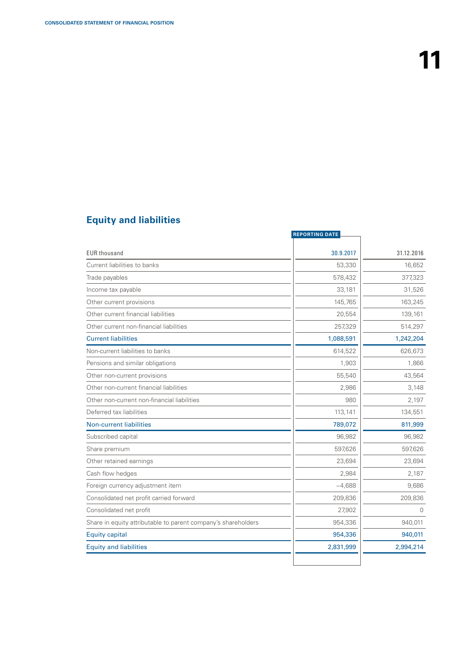## **Equity and liabilities**

|                                                               | <b>REPORTING DATE</b> |            |
|---------------------------------------------------------------|-----------------------|------------|
| <b>EUR thousand</b>                                           | 30.9.2017             | 31.12.2016 |
| Current liabilities to banks                                  | 53,330                | 16,652     |
| Trade payables                                                | 578,432               | 377,323    |
| Income tax payable                                            | 33,181                | 31,526     |
| Other current provisions                                      | 145,765               | 163,245    |
| Other current financial liabilities                           | 20,554                | 139,161    |
| Other current non-financial liabilities                       | 257,329               | 514,297    |
| <b>Current liabilities</b>                                    | 1,088,591             | 1,242,204  |
| Non-current liabilities to banks                              | 614,522               | 626,673    |
| Pensions and similar obligations                              | 1,903                 | 1,866      |
| Other non-current provisions                                  | 55,540                | 43,564     |
| Other non-current financial liabilities                       | 2,986                 | 3,148      |
| Other non-current non-financial liabilities                   | 980                   | 2,197      |
| Deferred tax liabilities                                      | 113,141               | 134,551    |
| <b>Non-current liabilities</b>                                | 789,072               | 811,999    |
| Subscribed capital                                            | 96,982                | 96,982     |
| Share premium                                                 | 597,626               | 597,626    |
| Other retained earnings                                       | 23,694                | 23,694     |
| Cash flow hedges                                              | 2,984                 | 2,187      |
| Foreign currency adjustment item                              | $-4,688$              | 9,686      |
| Consolidated net profit carried forward                       | 209,836               | 209,836    |
| Consolidated net profit                                       | 27,902                | $\Omega$   |
| Share in equity attributable to parent company's shareholders | 954,336               | 940,011    |
| <b>Equity capital</b>                                         | 954,336               | 940,011    |
| <b>Equity and liabilities</b>                                 | 2,831,999             | 2,994,214  |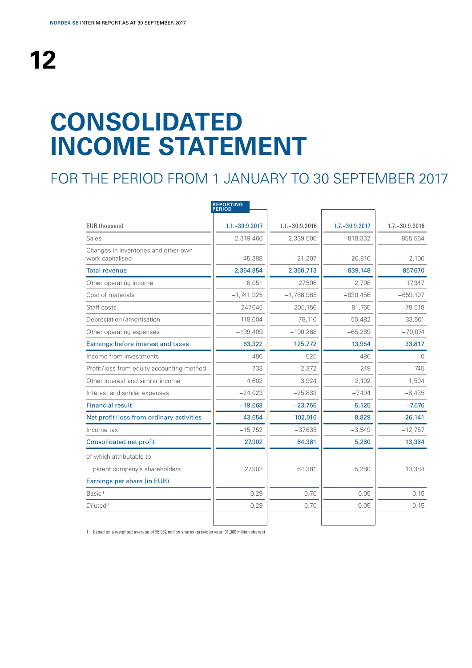## **CONSOLIDATED INCOME STATEMENT**

## FOR THE PERIOD FROM 1 JANUARY TO 30 SEPTEMBER 2017

|                                                          | <b>REPORTING</b><br><b>PERIOD</b> |                   |                   |                   |
|----------------------------------------------------------|-----------------------------------|-------------------|-------------------|-------------------|
| <b>EUR thousand</b>                                      | $1.1 - 30.9.2017$                 | $1.1 - 30.9.2016$ | $1.7 - 30.9.2017$ | $1.7 - 30.9.2016$ |
| Sales                                                    | 2,319,466                         | 2,339,506         | 818,332           | 855,564           |
| Changes in inventories and other own<br>work capitalised | 45,388                            | 21,207            | 20,816            | 2,106             |
| <b>Total revenue</b>                                     | 2,364,854                         | 2,360,713         | 839,148           | 857,670           |
| Other operating income                                   | 6,051                             | 27,598            | 2.798             | 17.347            |
| Cost of materials                                        | $-1,741,925$                      | $-1,788,985$      | $-630,456$        | $-659,107$        |
| Staff costs                                              | $-247,645$                        | $-205,156$        | $-81,765$         | $-78,518$         |
| Depreciation/amortisation                                | $-118,604$                        | $-78,110$         | $-50,482$         | $-33,501$         |
| Other operating expenses                                 | $-199,409$                        | $-190,288$        | $-65,289$         | $-70,074$         |
| Earnings before interest and taxes                       | 63,322                            | 125,772           | 13,954            | 33,817            |
| Income from investments                                  | 486                               | 525               | 486               | $\Omega$          |
| Profit/loss from equity accounting method                | $-733$                            | $-2,372$          | $-219$            | $-745$            |
| Other interest and similar income                        | 4,602                             | 3,924             | 2,102             | 1,504             |
| Interest and similar expenses                            | $-24,023$                         | $-25,833$         | $-7,494$          | $-8,435$          |
| <b>Financial result</b>                                  | $-19,668$                         | $-23,756$         | $-5,125$          | $-7,676$          |
| Net profit/loss from ordinary activities                 | 43,654                            | 102,016           | 8,829             | 26,141            |
| Income tax                                               | $-15,752$                         | $-37,635$         | $-3,549$          | $-12,757$         |
| <b>Consolidated net profit</b>                           | 27,902                            | 64,381            | 5,280             | 13,384            |
| of which attributable to                                 |                                   |                   |                   |                   |
| parent company's shareholders                            | 27,902                            | 64,381            | 5,280             | 13,384            |
| Earnings per share (in EUR)                              |                                   |                   |                   |                   |
| Basic <sup>1</sup>                                       | 0.29                              | 0.70              | 0.05              | 0.15              |
| Diluted <sup>1</sup>                                     | 0.29                              | 0.70              | 0.05              | 0.15              |
|                                                          |                                   |                   |                   |                   |

1 based on a weighted average of 96,982 million shares (previous year: 91,380 million shares)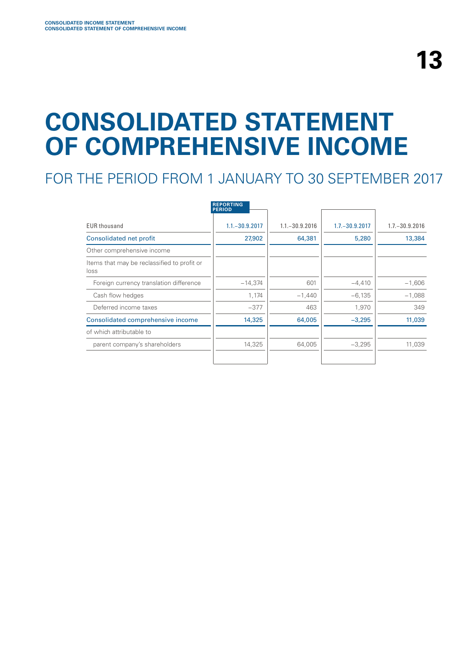## **CONSOLIDATED STATEMENT OF COMPREHENSIVE INCOME**

## FOR THE PERIOD FROM 1 JANUARY TO 30 SEPTEMBER 2017

|                                                     | <b>REPORTING</b><br><b>PERIOD</b> |                   |                   |                   |
|-----------------------------------------------------|-----------------------------------|-------------------|-------------------|-------------------|
| <b>EUR thousand</b>                                 | $1.1 - 30.9.2017$                 | $1.1 - 30.9.2016$ | $1.7 - 30.9.2017$ | $1.7 - 30.9.2016$ |
| Consolidated net profit                             | 27,902                            | 64,381            | 5,280             | 13,384            |
| Other comprehensive income                          |                                   |                   |                   |                   |
| Items that may be reclassified to profit or<br>loss |                                   |                   |                   |                   |
| Foreign currency translation difference             | $-14,374$                         | 601               | $-4,410$          | $-1,606$          |
| Cash flow hedges                                    | 1,174                             | $-1,440$          | $-6,135$          | $-1,088$          |
| Deferred income taxes                               | $-377$                            | 463               | 1,970             | 349               |
| Consolidated comprehensive income                   | 14,325                            | 64,005            | $-3,295$          | 11,039            |
| of which attributable to                            |                                   |                   |                   |                   |
| parent company's shareholders                       | 14,325                            | 64,005            | $-3,295$          | 11,039            |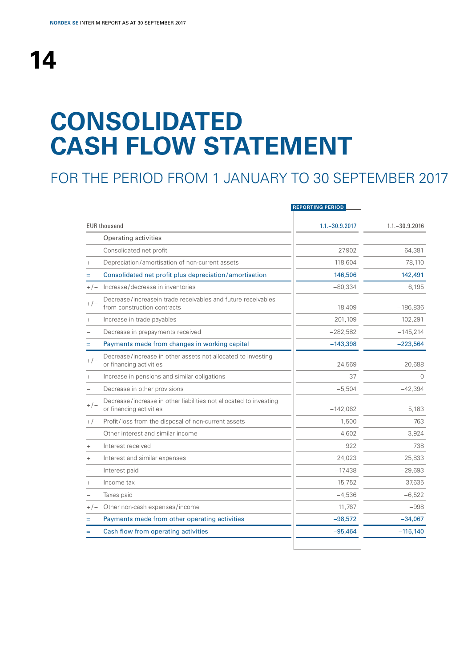# **14**

## **CONSOLIDATED CASH FLOW STATEMENT**

## FOR THE PERIOD FROM 1 JANUARY TO 30 SEPTEMBER 2017

|                   |                                                                                              | <b>REPORTING PERIOD</b> |                   |
|-------------------|----------------------------------------------------------------------------------------------|-------------------------|-------------------|
|                   | <b>EUR thousand</b>                                                                          | $1.1 - 30.9.2017$       | $1.1 - 30.9.2016$ |
|                   | Operating activities                                                                         |                         |                   |
|                   | Consolidated net profit                                                                      | 27,902                  | 64,381            |
| $\qquad \qquad +$ | Depreciation/amortisation of non-current assets                                              | 118,604                 | 78,110            |
| $=$               | Consolidated net profit plus depreciation/amortisation                                       | 146,506                 | 142,491           |
| $+/-$             | Increase/decrease in inventories                                                             | $-80,334$               | 6,195             |
| $+/-$             | Decrease/increasein trade receivables and future receivables<br>from construction contracts  | 18,409                  | $-186,836$        |
| $+$               | Increase in trade payables                                                                   | 201,109                 | 102,291           |
|                   | Decrease in prepayments received                                                             | $-282,582$              | $-145,214$        |
| $=$               | Payments made from changes in working capital                                                | $-143,398$              | $-223,564$        |
| $+/-$             | Decrease/increase in other assets not allocated to investing<br>or financing activities      | 24,569                  | $-20,688$         |
| $+$               | Increase in pensions and similar obligations                                                 | 37                      | $\Omega$          |
|                   | Decrease in other provisions                                                                 | $-5,504$                | $-42,394$         |
| $+/-$             | Decrease/increase in other liabilities not allocated to investing<br>or financing activities | $-142,062$              | 5,183             |
| $+/-$             | Profit/loss from the disposal of non-current assets                                          | $-1,500$                | 763               |
|                   | Other interest and similar income                                                            | $-4,602$                | $-3,924$          |
| $^{+}$            | Interest received                                                                            | 922                     | 738               |
| $^{+}$            | Interest and similar expenses                                                                | 24,023                  | 25,833            |
|                   | Interest paid                                                                                | $-17,438$               | $-29,693$         |
| $+$               | Income tax                                                                                   | 15,752                  | 37,635            |
|                   | Taxes paid                                                                                   | $-4,536$                | $-6,522$          |
| $+/-$             | Other non-cash expenses/income                                                               | 11,767                  | $-998$            |
| $=$               | Payments made from other operating activities                                                | $-98,572$               | $-34,067$         |
|                   | Cash flow from operating activities                                                          | $-95,464$               | $-115,140$        |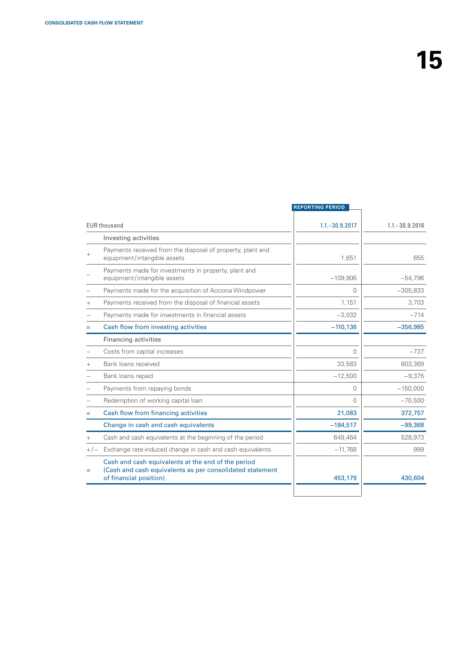|       |                                                                                                                                          | <b>REPORTING PERIOD</b> |                   |
|-------|------------------------------------------------------------------------------------------------------------------------------------------|-------------------------|-------------------|
|       | <b>EUR thousand</b>                                                                                                                      | $1.1 - 30.9.2017$       | $1.1 - 30.9.2016$ |
|       | Investing activities                                                                                                                     |                         |                   |
|       | Payments received from the disposal of property, plant and<br>equipment/intangible assets                                                | 1,651                   | 655               |
|       | Payments made for investments in property, plant and<br>equipment/intangible assets                                                      | $-109,906$              | $-54,796$         |
|       | Payments made for the acquisition of Acciona Windpower                                                                                   | $\Omega$                | $-305,833$        |
|       | Payments received from the disposal of financial assets                                                                                  | 1,151                   | 3.703             |
|       | Payments made for investments in financial assets                                                                                        | $-3,032$                | $-714$            |
|       | Cash flow from investing activities                                                                                                      | $-110,136$              | $-356,985$        |
|       | <b>Financing activities</b>                                                                                                              |                         |                   |
|       | Costs from capital increases                                                                                                             | $\Omega$                | $-737$            |
|       | Bank loans received                                                                                                                      | 33,583                  | 603,369           |
|       | Bank loans repaid                                                                                                                        | $-12,500$               | $-9,375$          |
|       | Payments from repaying bonds                                                                                                             | $\Omega$                | $-150,000$        |
|       | Redemption of working capital loan                                                                                                       | $\Omega$                | $-70,500$         |
|       | Cash flow from financing activities                                                                                                      | 21,083                  | 372,757           |
|       | Change in cash and cash equivalents                                                                                                      | $-184,517$              | $-99,368$         |
|       | Cash and cash equivalents at the beginning of the period                                                                                 | 649,464                 | 528,973           |
| $+/-$ | Exchange rate-induced change in cash and cash equivalents                                                                                | $-11,768$               | 999               |
| $=$   | Cash and cash equivalents at the end of the period<br>(Cash and cash equivalents as per consolidated statement<br>of financial position) | 453,179                 | 430,604           |
|       |                                                                                                                                          |                         |                   |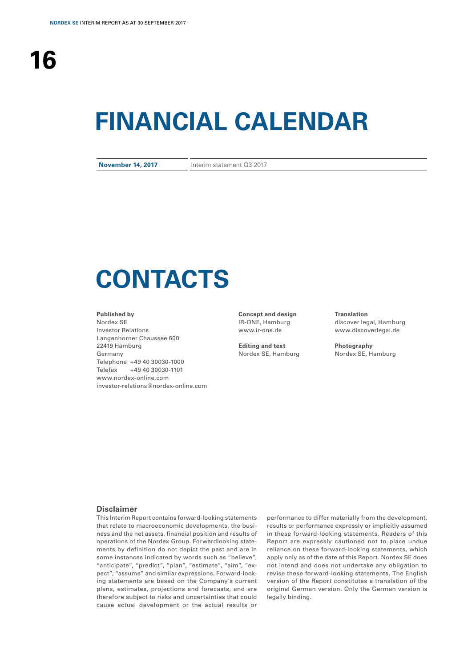## **FINANCIAL CALENDAR**

**November 14, 2017** Interim statement Q3 2017

## **CONTACTS**

#### **Published by**

Nordex SE Investor Relations Langenhorner Chaussee 600 22419 Hamburg Germany Telephone +49 40 30030-1000 Telefax +49 40 30030-1101 www.nordex-online.com investor-relations@nordex-online.com

**Concept and design** IR-ONE, Hamburg www.ir-one.de

**Editing and text** Nordex SE, Hamburg **Translation** discover legal, Hamburg www.discoverlegal.de

**Photography** Nordex SE, Hamburg

#### **Disclaimer**

This Interim Report contains forward-looking statements that relate to macroeconomic developments, the business and the net assets, financial position and results of operations of the Nordex Group. Forwardlooking statements by definition do not depict the past and are in some instances indicated by words such as "believe", "anticipate", "predict", "plan", "estimate", "aim", "expect", "assume" and similar expressions. Forward-looking statements are based on the Company's current plans, estimates, projections and forecasts, and are therefore subject to risks and uncertainties that could cause actual development or the actual results or

performance to differ materially from the development, results or performance expressly or implicitly assumed in these forward-looking statements. Readers of this Report are expressly cautioned not to place undue reliance on these forward-looking statements, which apply only as of the date of this Report. Nordex SE does not intend and does not undertake any obligation to revise these forward-looking statements. The English version of the Report constitutes a translation of the original German version. Only the German version is legally binding.